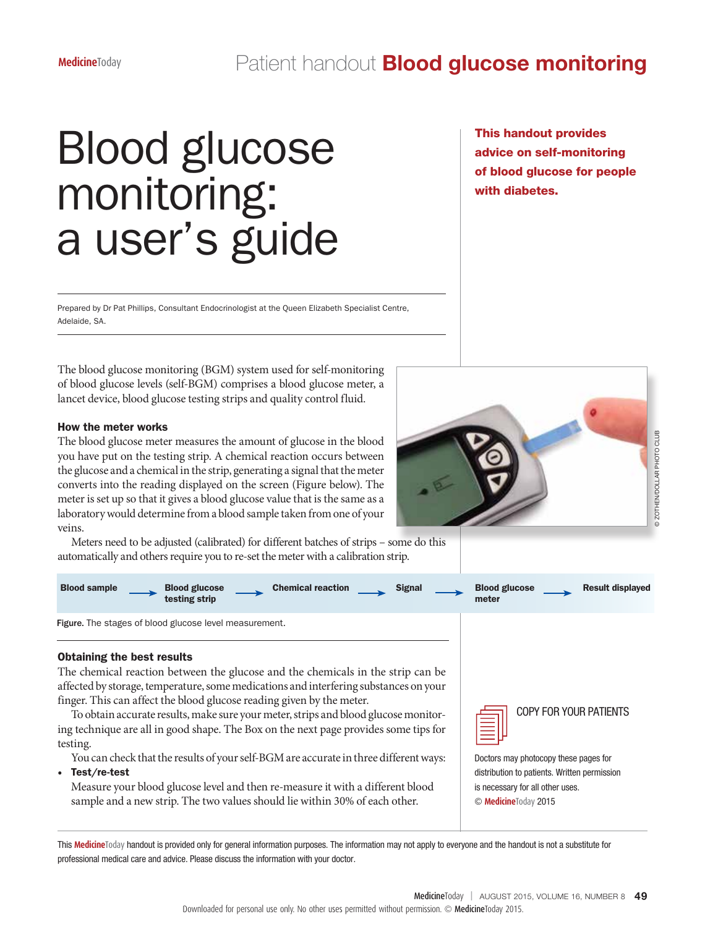# Blood glucose monitoring: a user's guide

Prepared by Dr Pat Phillips, Consultant Endocrinologist at the Queen Elizabeth Specialist Centre, Adelaide, SA.

The blood glucose monitoring (BGM) system used for self-monitoring of blood glucose levels (self-BGM) comprises a blood glucose meter, a lancet device, blood glucose testing strips and quality control fluid.

### How the meter works

The blood glucose meter measures the amount of glucose in the blood you have put on the testing strip. A chemical reaction occurs between the glucose and a chemical in the strip, generating a signal that the meter converts into the reading displayed on the screen (Figure below). The meter is set up so that it gives a blood glucose value that is the same as a laboratory would determine from a blood sample taken from one of your veins.

Meters need to be adjusted (calibrated) for different batches of strips – some do this automatically and others require you to re-set the meter with a calibration strip.





| <b>Blood sample</b><br><b>Chemical reaction</b><br><b>Blood glucose</b><br><b>Signal</b><br>testing strip                                                                                                                                                                                                                                                                                                                                                                         | <b>Blood glucose</b><br><b>Result displayed</b><br>meter                              |
|-----------------------------------------------------------------------------------------------------------------------------------------------------------------------------------------------------------------------------------------------------------------------------------------------------------------------------------------------------------------------------------------------------------------------------------------------------------------------------------|---------------------------------------------------------------------------------------|
| <b>Figure.</b> The stages of blood glucose level measurement.                                                                                                                                                                                                                                                                                                                                                                                                                     |                                                                                       |
| <b>Obtaining the best results</b><br>The chemical reaction between the glucose and the chemicals in the strip can be<br>affected by storage, temperature, some medications and interfering substances on your<br>finger. This can affect the blood glucose reading given by the meter.<br>To obtain accurate results, make sure your meter, strips and blood glucose monitor-<br>ing technique are all in good shape. The Box on the next page provides some tips for<br>testing. | <b>COPY FOR YOUR PATIENTS</b>                                                         |
| You can check that the results of your self-BGM are accurate in three different ways:<br>Test/re-test<br>٠                                                                                                                                                                                                                                                                                                                                                                        | Doctors may photocopy these pages for<br>distribution to patients. Written permission |

Measure your blood glucose level and then re-measure it with a different blood sample and a new strip. The two values should lie within 30% of each other.

distribution to patients. Written permission is necessary for all other uses.

© **Medicine**Today 2015

This Medicine<sup>Today</sup> handout is provided only for general information purposes. The information may not apply to everyone and the handout is not a substitute for professional medical care and advice. Please discuss the information with your doctor.